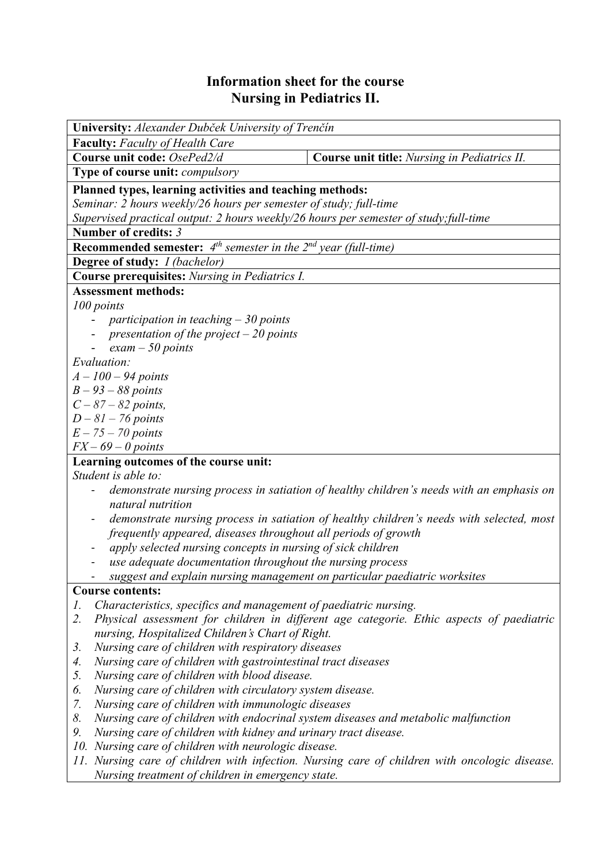## **Information sheet for the course Nursing in Pediatrics II.**

| University: Alexander Dubček University of Trenčín                                                                            |                                                                                               |  |  |  |  |  |
|-------------------------------------------------------------------------------------------------------------------------------|-----------------------------------------------------------------------------------------------|--|--|--|--|--|
| <b>Faculty:</b> Faculty of Health Care                                                                                        |                                                                                               |  |  |  |  |  |
| Course unit code: OsePed2/d                                                                                                   | Course unit title: Nursing in Pediatrics II.                                                  |  |  |  |  |  |
| Type of course unit: compulsory                                                                                               |                                                                                               |  |  |  |  |  |
| Planned types, learning activities and teaching methods:                                                                      |                                                                                               |  |  |  |  |  |
| Seminar: 2 hours weekly/26 hours per semester of study; full-time                                                             |                                                                                               |  |  |  |  |  |
| Supervised practical output: 2 hours weekly/26 hours per semester of study; full-time                                         |                                                                                               |  |  |  |  |  |
| Number of credits: 3                                                                                                          |                                                                                               |  |  |  |  |  |
| <b>Recommended semester:</b> $4^{th}$ semester in the $2^{nd}$ year (full-time)                                               |                                                                                               |  |  |  |  |  |
| <b>Degree of study:</b> <i>I (bachelor)</i>                                                                                   |                                                                                               |  |  |  |  |  |
| <b>Course prerequisites:</b> Nursing in Pediatrics I.                                                                         |                                                                                               |  |  |  |  |  |
| <b>Assessment methods:</b>                                                                                                    |                                                                                               |  |  |  |  |  |
| 100 points                                                                                                                    |                                                                                               |  |  |  |  |  |
| - participation in teaching $-30$ points                                                                                      |                                                                                               |  |  |  |  |  |
| presentation of the project $-20$ points                                                                                      |                                                                                               |  |  |  |  |  |
| $exam - 50$ points                                                                                                            |                                                                                               |  |  |  |  |  |
| Evaluation:                                                                                                                   |                                                                                               |  |  |  |  |  |
| $A - 100 - 94$ points                                                                                                         |                                                                                               |  |  |  |  |  |
| $B - 93 - 88$ points                                                                                                          |                                                                                               |  |  |  |  |  |
| $C - 87 - 82$ points,                                                                                                         |                                                                                               |  |  |  |  |  |
| $D-81-76$ points                                                                                                              |                                                                                               |  |  |  |  |  |
| $E - 75 - 70$ points                                                                                                          |                                                                                               |  |  |  |  |  |
| $FX - 69 - 0$ points                                                                                                          |                                                                                               |  |  |  |  |  |
| Learning outcomes of the course unit:                                                                                         |                                                                                               |  |  |  |  |  |
| Student is able to:                                                                                                           |                                                                                               |  |  |  |  |  |
|                                                                                                                               | demonstrate nursing process in satiation of healthy children's needs with an emphasis on      |  |  |  |  |  |
| natural nutrition                                                                                                             |                                                                                               |  |  |  |  |  |
|                                                                                                                               | demonstrate nursing process in satiation of healthy children's needs with selected, most      |  |  |  |  |  |
| frequently appeared, diseases throughout all periods of growth<br>apply selected nursing concepts in nursing of sick children |                                                                                               |  |  |  |  |  |
| use adequate documentation throughout the nursing process                                                                     |                                                                                               |  |  |  |  |  |
|                                                                                                                               |                                                                                               |  |  |  |  |  |
| suggest and explain nursing management on particular paediatric worksites<br><b>Course contents:</b>                          |                                                                                               |  |  |  |  |  |
| Characteristics, specifics and management of paediatric nursing.<br>1.                                                        |                                                                                               |  |  |  |  |  |
| 2.                                                                                                                            | Physical assessment for children in different age categorie. Ethic aspects of paediatric      |  |  |  |  |  |
| nursing, Hospitalized Children's Chart of Right.                                                                              |                                                                                               |  |  |  |  |  |
| Nursing care of children with respiratory diseases<br>3.                                                                      |                                                                                               |  |  |  |  |  |
| Nursing care of children with gastrointestinal tract diseases<br>4.                                                           |                                                                                               |  |  |  |  |  |
| 5.<br>Nursing care of children with blood disease.                                                                            |                                                                                               |  |  |  |  |  |
| Nursing care of children with circulatory system disease.<br>6.                                                               |                                                                                               |  |  |  |  |  |
| Nursing care of children with immunologic diseases<br>7.                                                                      |                                                                                               |  |  |  |  |  |
| 8.<br>Nursing care of children with endocrinal system diseases and metabolic malfunction                                      |                                                                                               |  |  |  |  |  |
| 9.<br>Nursing care of children with kidney and urinary tract disease.                                                         |                                                                                               |  |  |  |  |  |
| 10. Nursing care of children with neurologic disease.                                                                         |                                                                                               |  |  |  |  |  |
|                                                                                                                               | 11. Nursing care of children with infection. Nursing care of children with oncologic disease. |  |  |  |  |  |
| Nursing treatment of children in emergency state.                                                                             |                                                                                               |  |  |  |  |  |